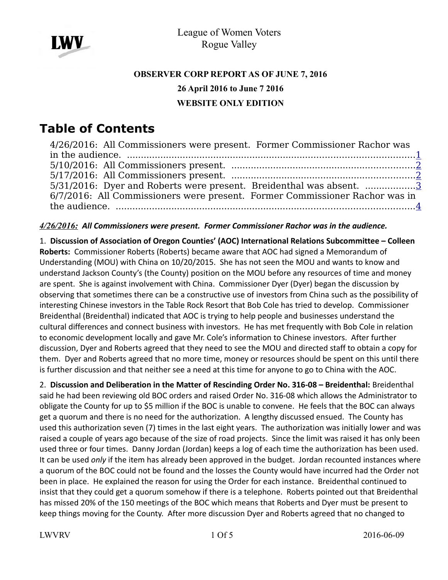

## **OBSERVER CORP REPORT AS OF JUNE 7, 2016 26 April 2016 to June 7 2016 WEBSITE ONLY EDITION**

# **Table of Contents**

| 4/26/2016: All Commissioners were present. Former Commissioner Rachor was   |  |
|-----------------------------------------------------------------------------|--|
|                                                                             |  |
|                                                                             |  |
|                                                                             |  |
| 5/31/2016: Dyer and Roberts were present. Breidenthal was absent. 3         |  |
| 6/7/2016: All Commissioners were present. Former Commissioner Rachor was in |  |
|                                                                             |  |

#### <span id="page-0-0"></span>*4/26/2016: All Commissioners were present. Former Commissioner Rachor was in the audience.*

1. **Discussion of Association of Oregon Counties' (AOC) International Relations Subcommittee – Colleen Roberts:** Commissioner Roberts (Roberts) became aware that AOC had signed a Memorandum of Understanding (MOU) with China on 10/20/2015. She has not seen the MOU and wants to know and understand Jackson County's (the County) position on the MOU before any resources of time and money are spent. She is against involvement with China. Commissioner Dyer (Dyer) began the discussion by observing that sometimes there can be a constructive use of investors from China such as the possibility of interesting Chinese investors in the Table Rock Resort that Bob Cole has tried to develop. Commissioner Breidenthal (Breidenthal) indicated that AOC is trying to help people and businesses understand the cultural differences and connect business with investors. He has met frequently with Bob Cole in relation to economic development locally and gave Mr. Cole's information to Chinese investors. After further discussion, Dyer and Roberts agreed that they need to see the MOU and directed staff to obtain a copy for them. Dyer and Roberts agreed that no more time, money or resources should be spent on this until there is further discussion and that neither see a need at this time for anyone to go to China with the AOC.

2. **Discussion and Deliberation in the Matter of Rescinding Order No. 316-08 – Breidenthal:** Breidenthal said he had been reviewing old BOC orders and raised Order No. 316-08 which allows the Administrator to obligate the County for up to \$5 million if the BOC is unable to convene. He feels that the BOC can always get a quorum and there is no need for the authorization. A lengthy discussed ensued. The County has used this authorization seven (7) times in the last eight years. The authorization was initially lower and was raised a couple of years ago because of the size of road projects. Since the limit was raised it has only been used three or four times. Danny Jordan (Jordan) keeps a log of each time the authorization has been used. It can be used *only* if the item has already been approved in the budget. Jordan recounted instances where a quorum of the BOC could not be found and the losses the County would have incurred had the Order not been in place. He explained the reason for using the Order for each instance. Breidenthal continued to insist that they could get a quorum somehow if there is a telephone. Roberts pointed out that Breidenthal has missed 20% of the 150 meetings of the BOC which means that Roberts and Dyer must be present to keep things moving for the County. After more discussion Dyer and Roberts agreed that no changed to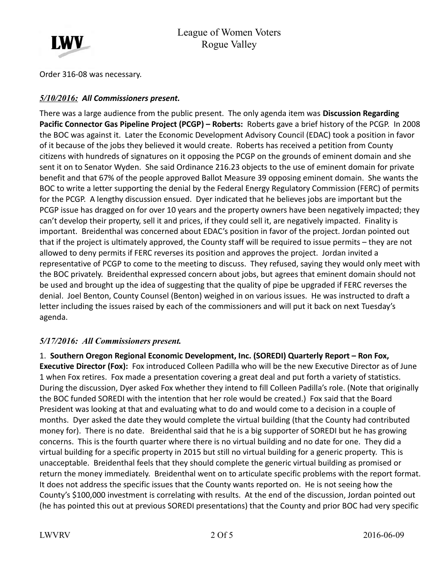

Order 316-08 was necessary.

#### <span id="page-1-1"></span>*5/10/2016: All Commissioners present.*

There was a large audience from the public present. The only agenda item was **Discussion Regarding Pacific Connector Gas Pipeline Project (PCGP) – Roberts:** Roberts gave a brief history of the PCGP. In 2008 the BOC was against it. Later the Economic Development Advisory Council (EDAC) took a position in favor of it because of the jobs they believed it would create. Roberts has received a petition from County citizens with hundreds of signatures on it opposing the PCGP on the grounds of eminent domain and she sent it on to Senator Wyden. She said Ordinance 216.23 objects to the use of eminent domain for private benefit and that 67% of the people approved Ballot Measure 39 opposing eminent domain. She wants the BOC to write a letter supporting the denial by the Federal Energy Regulatory Commission (FERC) of permits for the PCGP. A lengthy discussion ensued. Dyer indicated that he believes jobs are important but the PCGP issue has dragged on for over 10 years and the property owners have been negatively impacted; they can't develop their property, sell it and prices, if they could sell it, are negatively impacted. Finality is important. Breidenthal was concerned about EDAC's position in favor of the project. Jordan pointed out that if the project is ultimately approved, the County staff will be required to issue permits – they are not allowed to deny permits if FERC reverses its position and approves the project. Jordan invited a representative of PCGP to come to the meeting to discuss. They refused, saying they would only meet with the BOC privately. Breidenthal expressed concern about jobs, but agrees that eminent domain should not be used and brought up the idea of suggesting that the quality of pipe be upgraded if FERC reverses the denial. Joel Benton, County Counsel (Benton) weighed in on various issues. He was instructed to draft a letter including the issues raised by each of the commissioners and will put it back on next Tuesday's agenda.

#### <span id="page-1-0"></span>*5/17/2016: All Commissioners present.*

1. **Southern Oregon Regional Economic Development, Inc. (SOREDI) Quarterly Report – Ron Fox, Executive Director (Fox):** Fox introduced Colleen Padilla who will be the new Executive Director as of June 1 when Fox retires. Fox made a presentation covering a great deal and put forth a variety of statistics. During the discussion, Dyer asked Fox whether they intend to fill Colleen Padilla's role. (Note that originally the BOC funded SOREDI with the intention that her role would be created.) Fox said that the Board President was looking at that and evaluating what to do and would come to a decision in a couple of months. Dyer asked the date they would complete the virtual building (that the County had contributed money for). There is no date. Breidenthal said that he is a big supporter of SOREDI but he has growing concerns. This is the fourth quarter where there is no virtual building and no date for one. They did a virtual building for a specific property in 2015 but still no virtual building for a generic property. This is unacceptable. Breidenthal feels that they should complete the generic virtual building as promised or return the money immediately. Breidenthal went on to articulate specific problems with the report format. It does not address the specific issues that the County wants reported on. He is not seeing how the County's \$100,000 investment is correlating with results. At the end of the discussion, Jordan pointed out (he has pointed this out at previous SOREDI presentations) that the County and prior BOC had very specific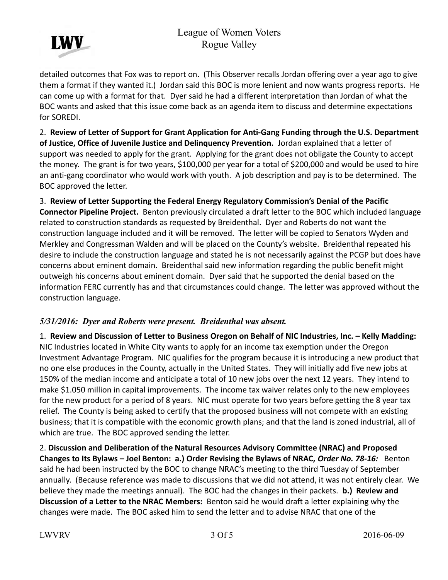## League of Women Voters Rogue Valley



detailed outcomes that Fox was to report on. (This Observer recalls Jordan offering over a year ago to give them a format if they wanted it.) Jordan said this BOC is more lenient and now wants progress reports. He can come up with a format for that. Dyer said he had a different interpretation than Jordan of what the BOC wants and asked that this issue come back as an agenda item to discuss and determine expectations for SOREDI.

2. **Review of Letter of Support for Grant Application for Anti-Gang Funding through the U.S. Department of Justice, Office of Juvenile Justice and Delinquency Prevention.** Jordan explained that a letter of support was needed to apply for the grant. Applying for the grant does not obligate the County to accept the money. The grant is for two years, \$100,000 per year for a total of \$200,000 and would be used to hire an anti-gang coordinator who would work with youth. A job description and pay is to be determined. The BOC approved the letter.

3. **Review of Letter Supporting the Federal Energy Regulatory Commission's Denial of the Pacific Connector Pipeline Project.** Benton previously circulated a draft letter to the BOC which included language related to construction standards as requested by Breidenthal. Dyer and Roberts do not want the construction language included and it will be removed. The letter will be copied to Senators Wyden and Merkley and Congressman Walden and will be placed on the County's website. Breidenthal repeated his desire to include the construction language and stated he is not necessarily against the PCGP but does have concerns about eminent domain. Breidenthal said new information regarding the public benefit might outweigh his concerns about eminent domain. Dyer said that he supported the denial based on the information FERC currently has and that circumstances could change. The letter was approved without the construction language.

#### <span id="page-2-0"></span>*5/31/2016: Dyer and Roberts were present. Breidenthal was absent.*

1. **Review and Discussion of Letter to Business Oregon on Behalf of NIC Industries, Inc. – Kelly Madding:** NIC Industries located in White City wants to apply for an income tax exemption under the Oregon Investment Advantage Program. NIC qualifies for the program because it is introducing a new product that no one else produces in the County, actually in the United States. They will initially add five new jobs at 150% of the median income and anticipate a total of 10 new jobs over the next 12 years. They intend to make \$1.050 million in capital improvements. The income tax waiver relates only to the new employees for the new product for a period of 8 years. NIC must operate for two years before getting the 8 year tax relief. The County is being asked to certify that the proposed business will not compete with an existing business; that it is compatible with the economic growth plans; and that the land is zoned industrial, all of which are true. The BOC approved sending the letter.

2. **Discussion and Deliberation of the Natural Resources Advisory Committee (NRAC) and Proposed Changes to Its Bylaws – Joel Benton: a.) Order Revising the Bylaws of NRAC,** *Order No. 78-16:* Benton said he had been instructed by the BOC to change NRAC's meeting to the third Tuesday of September annually. (Because reference was made to discussions that we did not attend, it was not entirely clear. We believe they made the meetings annual). The BOC had the changes in their packets. **b.) Review and Discussion of a Letter to the NRAC Members:** Benton said he would draft a letter explaining why the changes were made. The BOC asked him to send the letter and to advise NRAC that one of the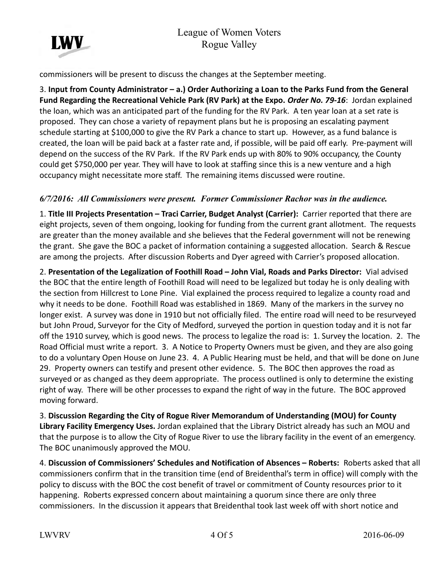

commissioners will be present to discuss the changes at the September meeting.

3. **Input from County Administrator – a.) Order Authorizing a Loan to the Parks Fund from the General Fund Regarding the Recreational Vehicle Park (RV Park) at the Expo.** *Order No. 79-16*: Jordan explained the loan, which was an anticipated part of the funding for the RV Park. A ten year loan at a set rate is proposed. They can chose a variety of repayment plans but he is proposing an escalating payment schedule starting at \$100,000 to give the RV Park a chance to start up. However, as a fund balance is created, the loan will be paid back at a faster rate and, if possible, will be paid off early. Pre-payment will depend on the success of the RV Park. If the RV Park ends up with 80% to 90% occupancy, the County could get \$750,000 per year. They will have to look at staffing since this is a new venture and a high occupancy might necessitate more staff. The remaining items discussed were routine.

#### <span id="page-3-0"></span>*6/7/2016: All Commissioners were present. Former Commissioner Rachor was in the audience.*

1. **Title III Projects Presentation – Traci Carrier, Budget Analyst (Carrier):** Carrier reported that there are eight projects, seven of them ongoing, looking for funding from the current grant allotment. The requests are greater than the money available and she believes that the Federal government will not be renewing the grant. She gave the BOC a packet of information containing a suggested allocation. Search & Rescue are among the projects. After discussion Roberts and Dyer agreed with Carrier's proposed allocation.

2. **Presentation of the Legalization of Foothill Road – John Vial, Roads and Parks Director:** Vial advised the BOC that the entire length of Foothill Road will need to be legalized but today he is only dealing with the section from Hillcrest to Lone Pine. Vial explained the process required to legalize a county road and why it needs to be done. Foothill Road was established in 1869. Many of the markers in the survey no longer exist. A survey was done in 1910 but not officially filed. The entire road will need to be resurveyed but John Proud, Surveyor for the City of Medford, surveyed the portion in question today and it is not far off the 1910 survey, which is good news. The process to legalize the road is: 1. Survey the location. 2. The Road Official must write a report. 3. A Notice to Property Owners must be given, and they are also going to do a voluntary Open House on June 23. 4. A Public Hearing must be held, and that will be done on June 29. Property owners can testify and present other evidence. 5. The BOC then approves the road as surveyed or as changed as they deem appropriate. The process outlined is only to determine the existing right of way. There will be other processes to expand the right of way in the future. The BOC approved moving forward.

3. **Discussion Regarding the City of Rogue River Memorandum of Understanding (MOU) for County Library Facility Emergency Uses.** Jordan explained that the Library District already has such an MOU and that the purpose is to allow the City of Rogue River to use the library facility in the event of an emergency. The BOC unanimously approved the MOU.

4. **Discussion of Commissioners' Schedules and Notification of Absences – Roberts:** Roberts asked that all commissioners confirm that in the transition time (end of Breidenthal's term in office) will comply with the policy to discuss with the BOC the cost benefit of travel or commitment of County resources prior to it happening. Roberts expressed concern about maintaining a quorum since there are only three commissioners. In the discussion it appears that Breidenthal took last week off with short notice and